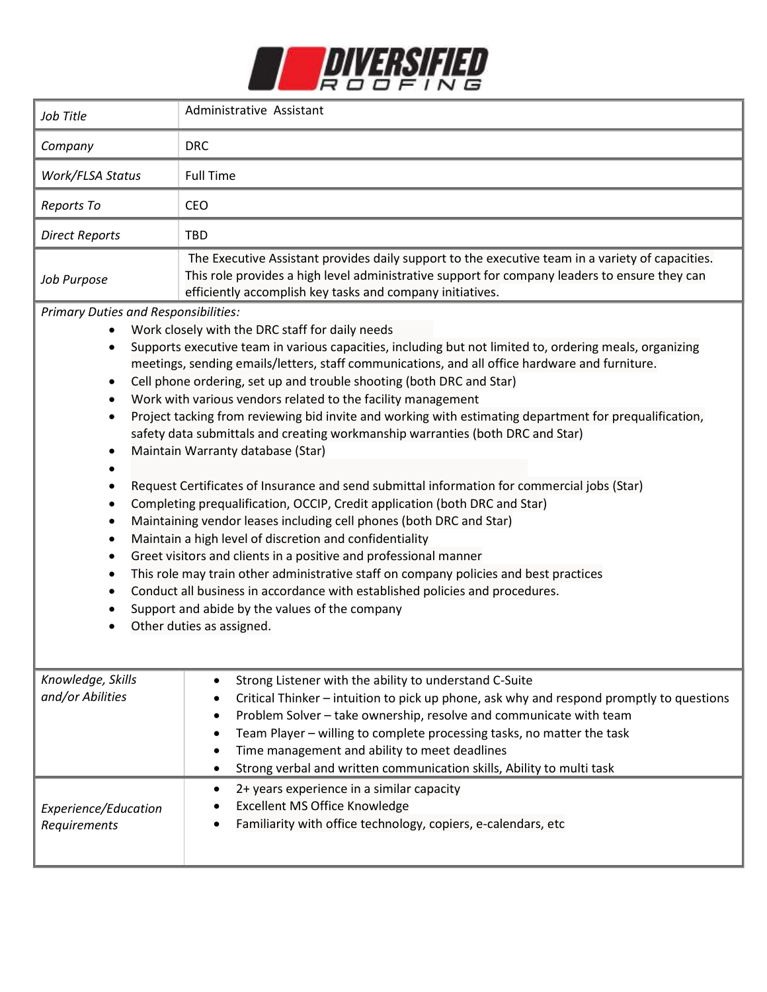

| Job Title                                                                                                                                                                                                                                                                                                                                                                                                                                                                                                                                                                                                                                                                                                                                                                                                                                                                                                                                                                                                                                                                                                                                                                                                                                                                                                                                                                                                       | Administrative Assistant                                                                                                                                                                                                                                                                                                                                                                                                                                                       |
|-----------------------------------------------------------------------------------------------------------------------------------------------------------------------------------------------------------------------------------------------------------------------------------------------------------------------------------------------------------------------------------------------------------------------------------------------------------------------------------------------------------------------------------------------------------------------------------------------------------------------------------------------------------------------------------------------------------------------------------------------------------------------------------------------------------------------------------------------------------------------------------------------------------------------------------------------------------------------------------------------------------------------------------------------------------------------------------------------------------------------------------------------------------------------------------------------------------------------------------------------------------------------------------------------------------------------------------------------------------------------------------------------------------------|--------------------------------------------------------------------------------------------------------------------------------------------------------------------------------------------------------------------------------------------------------------------------------------------------------------------------------------------------------------------------------------------------------------------------------------------------------------------------------|
| Company                                                                                                                                                                                                                                                                                                                                                                                                                                                                                                                                                                                                                                                                                                                                                                                                                                                                                                                                                                                                                                                                                                                                                                                                                                                                                                                                                                                                         | <b>DRC</b>                                                                                                                                                                                                                                                                                                                                                                                                                                                                     |
| Work/FLSA Status                                                                                                                                                                                                                                                                                                                                                                                                                                                                                                                                                                                                                                                                                                                                                                                                                                                                                                                                                                                                                                                                                                                                                                                                                                                                                                                                                                                                | <b>Full Time</b>                                                                                                                                                                                                                                                                                                                                                                                                                                                               |
| Reports To                                                                                                                                                                                                                                                                                                                                                                                                                                                                                                                                                                                                                                                                                                                                                                                                                                                                                                                                                                                                                                                                                                                                                                                                                                                                                                                                                                                                      | <b>CEO</b>                                                                                                                                                                                                                                                                                                                                                                                                                                                                     |
| <b>Direct Reports</b>                                                                                                                                                                                                                                                                                                                                                                                                                                                                                                                                                                                                                                                                                                                                                                                                                                                                                                                                                                                                                                                                                                                                                                                                                                                                                                                                                                                           | TBD                                                                                                                                                                                                                                                                                                                                                                                                                                                                            |
| Job Purpose                                                                                                                                                                                                                                                                                                                                                                                                                                                                                                                                                                                                                                                                                                                                                                                                                                                                                                                                                                                                                                                                                                                                                                                                                                                                                                                                                                                                     | The Executive Assistant provides daily support to the executive team in a variety of capacities.<br>This role provides a high level administrative support for company leaders to ensure they can<br>efficiently accomplish key tasks and company initiatives.                                                                                                                                                                                                                 |
| <b>Primary Duties and Responsibilities:</b><br>Work closely with the DRC staff for daily needs<br>Supports executive team in various capacities, including but not limited to, ordering meals, organizing<br>٠<br>meetings, sending emails/letters, staff communications, and all office hardware and furniture.<br>Cell phone ordering, set up and trouble shooting (both DRC and Star)<br>$\bullet$<br>Work with various vendors related to the facility management<br>$\bullet$<br>Project tacking from reviewing bid invite and working with estimating department for prequalification,<br>٠<br>safety data submittals and creating workmanship warranties (both DRC and Star)<br>Maintain Warranty database (Star)<br>Request Certificates of Insurance and send submittal information for commercial jobs (Star)<br>$\bullet$<br>Completing prequalification, OCCIP, Credit application (both DRC and Star)<br>Maintaining vendor leases including cell phones (both DRC and Star)<br>Maintain a high level of discretion and confidentiality<br>$\bullet$<br>Greet visitors and clients in a positive and professional manner<br>This role may train other administrative staff on company policies and best practices<br>٠<br>Conduct all business in accordance with established policies and procedures.<br>$\bullet$<br>Support and abide by the values of the company<br>Other duties as assigned. |                                                                                                                                                                                                                                                                                                                                                                                                                                                                                |
| Knowledge, Skills<br>and/or Abilities                                                                                                                                                                                                                                                                                                                                                                                                                                                                                                                                                                                                                                                                                                                                                                                                                                                                                                                                                                                                                                                                                                                                                                                                                                                                                                                                                                           | Strong Listener with the ability to understand C-Suite<br>Critical Thinker - intuition to pick up phone, ask why and respond promptly to questions<br>Problem Solver - take ownership, resolve and communicate with team<br>Team Player - willing to complete processing tasks, no matter the task<br>Time management and ability to meet deadlines<br>Strong verbal and written communication skills, Ability to multi task<br>2+ years experience in a similar capacity<br>٠ |
| Experience/Education<br>Requirements                                                                                                                                                                                                                                                                                                                                                                                                                                                                                                                                                                                                                                                                                                                                                                                                                                                                                                                                                                                                                                                                                                                                                                                                                                                                                                                                                                            | <b>Excellent MS Office Knowledge</b><br>Familiarity with office technology, copiers, e-calendars, etc                                                                                                                                                                                                                                                                                                                                                                          |